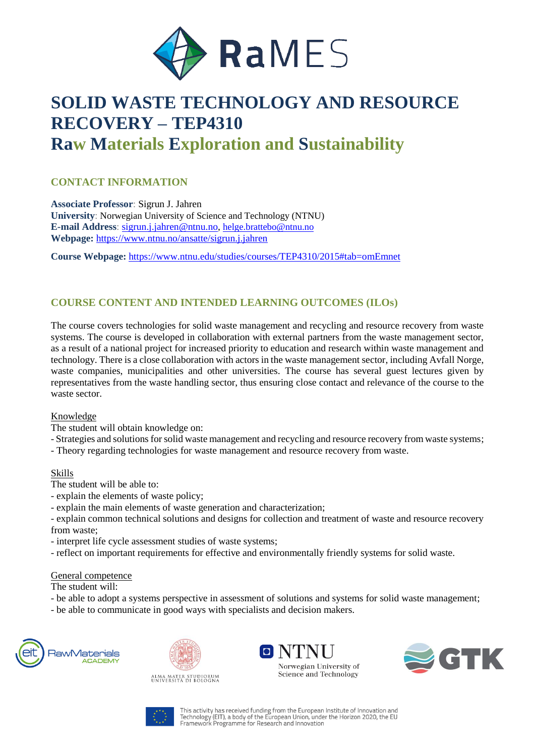

# **SOLID WASTE TECHNOLOGY AND RESOURCE RECOVERY – TEP4310 Raw Materials Exploration and Sustainability**

# **CONTACT INFORMATION**

**Associate Professor**: Sigrun J. Jahren **University**: Norwegian University of Science and Technology (NTNU) **E-mail Address**: [sigrun.j.jahren@ntnu.no,](mailto:sigrun.j.jahren@ntnu.no) [helge.brattebo@ntnu.no](mailto:helge.brattebo@ntnu.no) **Webpage:** <https://www.ntnu.no/ansatte/sigrun.j.jahren>

**Course Webpage:** <https://www.ntnu.edu/studies/courses/TEP4310/2015#tab=omEmnet>

## **COURSE CONTENT AND INTENDED LEARNING OUTCOMES (ILOs)**

The course covers technologies for solid waste management and recycling and resource recovery from waste systems. The course is developed in collaboration with external partners from the waste management sector, as a result of a national project for increased priority to education and research within waste management and technology. There is a close collaboration with actors in the waste management sector, including Avfall Norge, waste companies, municipalities and other universities. The course has several guest lectures given by representatives from the waste handling sector, thus ensuring close contact and relevance of the course to the waste sector.

#### Knowledge

- The student will obtain knowledge on:
- Strategies and solutions for solid waste management and recycling and resource recovery from waste systems;
- Theory regarding technologies for waste management and resource recovery from waste.

#### Skills

- The student will be able to:
- explain the elements of waste policy;
- explain the main elements of waste generation and characterization;
- explain common technical solutions and designs for collection and treatment of waste and resource recovery from waste;
- interpret life cycle assessment studies of waste systems;
- reflect on important requirements for effective and environmentally friendly systems for solid waste.

#### General competence

The student will:

- be able to adopt a systems perspective in assessment of solutions and systems for solid waste management;
- be able to communicate in good ways with specialists and decision makers.





 $\blacksquare$   $\blacksquare$ Norwegian University of Science and Technology



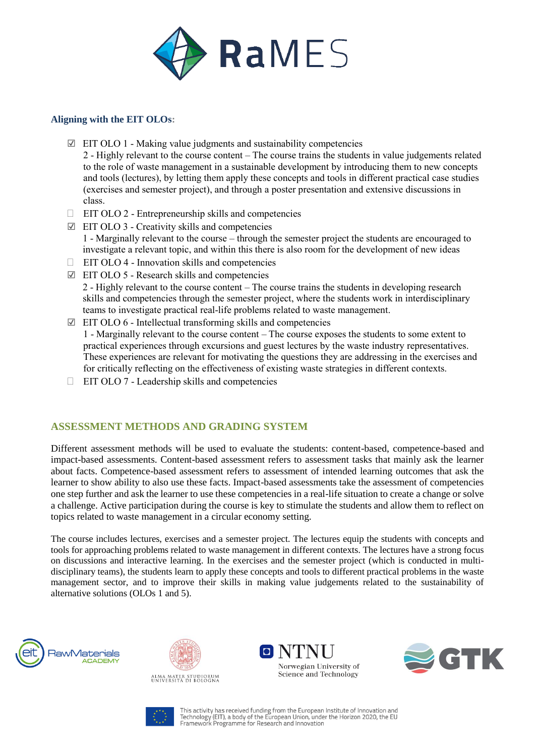

### **Aligning with the EIT OLOs:**

- $\boxtimes$  EIT OLO 1 Making value judgments and sustainability competencies 2 - Highly relevant to the course content – The course trains the students in value judgements related to the role of waste management in a sustainable development by introducing them to new concepts and tools (lectures), by letting them apply these concepts and tools in different practical case studies (exercises and semester project), and through a poster presentation and extensive discussions in class.
- $\Box$  EIT OLO 2 Entrepreneurship skills and competencies
- $\Box$  EIT OLO 3 Creativity skills and competencies 1 - Marginally relevant to the course – through the semester project the students are encouraged to investigate a relevant topic, and within this there is also room for the development of new ideas
- $\Box$  EIT OLO 4 Innovation skills and competencies
- ☑ EIT OLO 5 Research skills and competencies 2 - Highly relevant to the course content – The course trains the students in developing research skills and competencies through the semester project, where the students work in interdisciplinary teams to investigate practical real-life problems related to waste management.
- $\boxtimes$  EIT OLO 6 Intellectual transforming skills and competencies 1 - Marginally relevant to the course content – The course exposes the students to some extent to practical experiences through excursions and guest lectures by the waste industry representatives. These experiences are relevant for motivating the questions they are addressing in the exercises and for critically reflecting on the effectiveness of existing waste strategies in different contexts.
- $\Box$  EIT OLO 7 Leadership skills and competencies

## **ASSESSMENT METHODS AND GRADING SYSTEM**

Different assessment methods will be used to evaluate the students: content-based, competence-based and impact-based assessments. Content-based assessment refers to assessment tasks that mainly ask the learner about facts. Competence-based assessment refers to assessment of intended learning outcomes that ask the learner to show ability to also use these facts. Impact-based assessments take the assessment of competencies one step further and ask the learner to use these competencies in a real-life situation to create a change or solve a challenge. Active participation during the course is key to stimulate the students and allow them to reflect on topics related to waste management in a circular economy setting.

The course includes lectures, exercises and a semester project. The lectures equip the students with concepts and tools for approaching problems related to waste management in different contexts. The lectures have a strong focus on discussions and interactive learning. In the exercises and the semester project (which is conducted in multidisciplinary teams), the students learn to apply these concepts and tools to different practical problems in the waste management sector, and to improve their skills in making value judgements related to the sustainability of alternative solutions (OLOs 1 and 5).











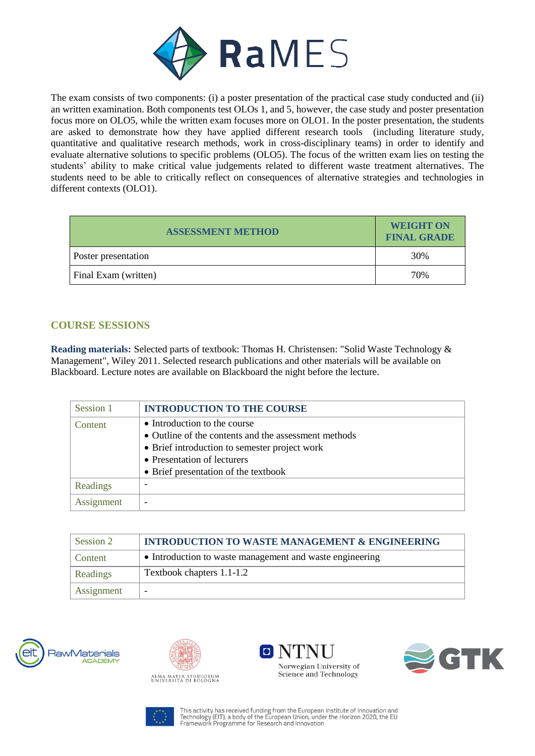

The exam consists of two components: (i) a poster presentation of the practical case study conducted and (ii) an written examination. Both components test OLOs 1, and 5, however, the case study and poster presentation focus more on OLO5, while the written exam focuses more on OLO1. In the poster presentation, the students are asked to demonstrate how they have applied different research tools (including literature study, quantitative and qualitative research methods, work in cross-disciplinary teams) in order to identify and evaluate alternative solutions to specific problems (OLO5). The focus of the written exam lies on testing the students' ability to make critical value judgements related to different waste treatment alternatives. The students need to be able to critically reflect on consequences of alternative strategies and technologies in different contexts (OLO1).

| <b>ASSESSMENT METHOD</b> | <b>WEIGHT ON</b><br><b>FINAL GRADE</b> |
|--------------------------|----------------------------------------|
| Poster presentation      | 30%                                    |
| Final Exam (written)     | 70%                                    |

# **COURSE SESSIONS**

**Reading materials:** Selected parts of textbook: Thomas H. Christensen: "Solid Waste Technology & Management", Wiley 2011. Selected research publications and other materials will be available on Blackboard. Lecture notes are available on Blackboard the night before the lecture.

| Session 1  | <b>INTRODUCTION TO THE COURSE</b>                    |
|------------|------------------------------------------------------|
| Content    | • Introduction to the course                         |
|            | • Outline of the contents and the assessment methods |
|            | • Brief introduction to semester project work        |
|            | • Presentation of lecturers                          |
|            | • Brief presentation of the textbook                 |
| Readings   |                                                      |
| Assignment |                                                      |

| Session 2  | <b>INTRODUCTION TO WASTE MANAGEMENT &amp; ENGINEERING</b> |
|------------|-----------------------------------------------------------|
| Content    | • Introduction to waste management and waste engineering  |
| Readings   | Textbook chapters 1.1-1.2                                 |
| Assignment |                                                           |









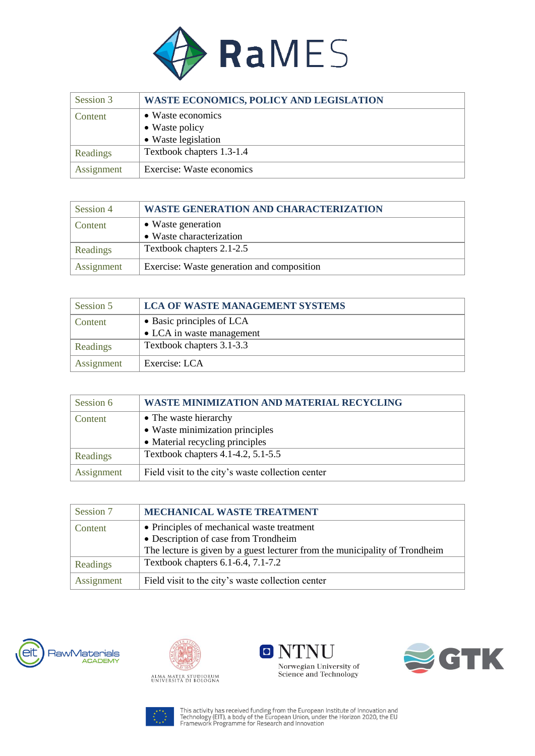

| Session 3  | <b>WASTE ECONOMICS, POLICY AND LEGISLATION</b> |
|------------|------------------------------------------------|
| Content    | • Waste economics                              |
|            | • Waste policy                                 |
|            | • Waste legislation                            |
| Readings   | Textbook chapters 1.3-1.4                      |
| Assignment | Exercise: Waste economics                      |

| Session 4       | <b>WASTE GENERATION AND CHARACTERIZATION</b> |
|-----------------|----------------------------------------------|
| Content         | • Waste generation                           |
|                 | • Waste characterization                     |
| <b>Readings</b> | Textbook chapters 2.1-2.5                    |
| Assignment      | Exercise: Waste generation and composition   |

| Session 5       | <b>LCA OF WASTE MANAGEMENT SYSTEMS</b> |
|-----------------|----------------------------------------|
| Content         | • Basic principles of LCA              |
|                 | • LCA in waste management              |
| <b>Readings</b> | Textbook chapters 3.1-3.3              |
| Assignment      | Exercise: LCA                          |

| Session 6  | <b>WASTE MINIMIZATION AND MATERIAL RECYCLING</b>  |
|------------|---------------------------------------------------|
| Content    | • The waste hierarchy                             |
|            | • Waste minimization principles                   |
|            | • Material recycling principles                   |
| Readings   | Textbook chapters 4.1-4.2, 5.1-5.5                |
| Assignment | Field visit to the city's waste collection center |

| Session 7  | MECHANICAL WASTE TREATMENT                                                  |
|------------|-----------------------------------------------------------------------------|
| Content    | • Principles of mechanical waste treatment                                  |
|            | • Description of case from Trondheim                                        |
|            | The lecture is given by a guest lecturer from the municipality of Trondheim |
| Readings   | Textbook chapters 6.1-6.4, 7.1-7.2                                          |
| Assignment | Field visit to the city's waste collection center                           |









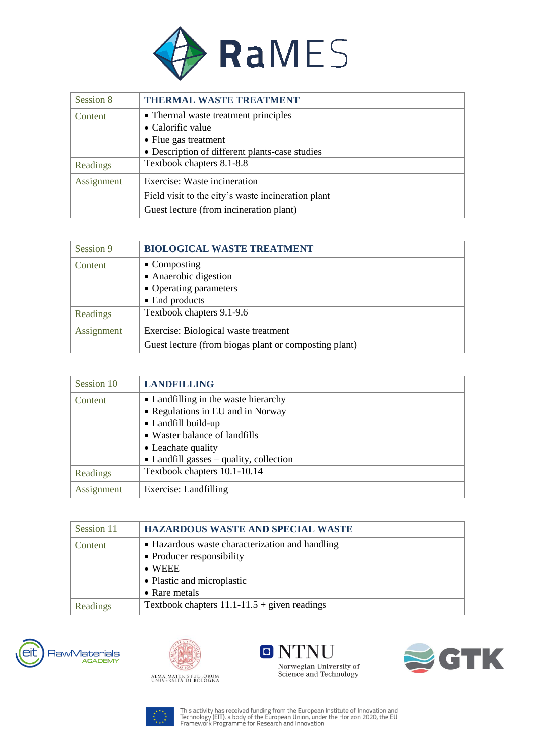

| Session 8  | THERMAL WASTE TREATMENT                            |
|------------|----------------------------------------------------|
| Content    | • Thermal waste treatment principles               |
|            | • Calorific value                                  |
|            | • Flue gas treatment                               |
|            | • Description of different plants-case studies     |
| Readings   | Textbook chapters 8.1-8.8                          |
| Assignment | Exercise: Waste incineration                       |
|            | Field visit to the city's waste incineration plant |
|            | Guest lecture (from incineration plant)            |

| Session 9  | <b>BIOLOGICAL WASTE TREATMENT</b>                     |
|------------|-------------------------------------------------------|
| Content    | $\bullet$ Composting                                  |
|            | • Anaerobic digestion                                 |
|            | • Operating parameters                                |
|            | • End products                                        |
| Readings   | Textbook chapters 9.1-9.6                             |
| Assignment | Exercise: Biological waste treatment                  |
|            | Guest lecture (from biogas plant or composting plant) |

| Session 10 | <b>LANDFILLING</b>                              |
|------------|-------------------------------------------------|
| Content    | • Landfilling in the waste hierarchy            |
|            | • Regulations in EU and in Norway               |
|            | • Landfill build-up                             |
|            | • Waster balance of landfills                   |
|            | • Leachate quality                              |
|            | $\bullet$ Landfill gasses – quality, collection |
| Readings   | Textbook chapters 10.1-10.14                    |
| Assignment | Exercise: Landfilling                           |

| Session 11 | <b>HAZARDOUS WASTE AND SPECIAL WASTE</b>                                                                                                      |
|------------|-----------------------------------------------------------------------------------------------------------------------------------------------|
| Content    | • Hazardous waste characterization and handling<br>• Producer responsibility<br>$\bullet$ WEEE<br>• Plastic and microplastic<br>• Rare metals |
| Readings   | Textbook chapters $11.1 - 11.5 +$ given readings                                                                                              |